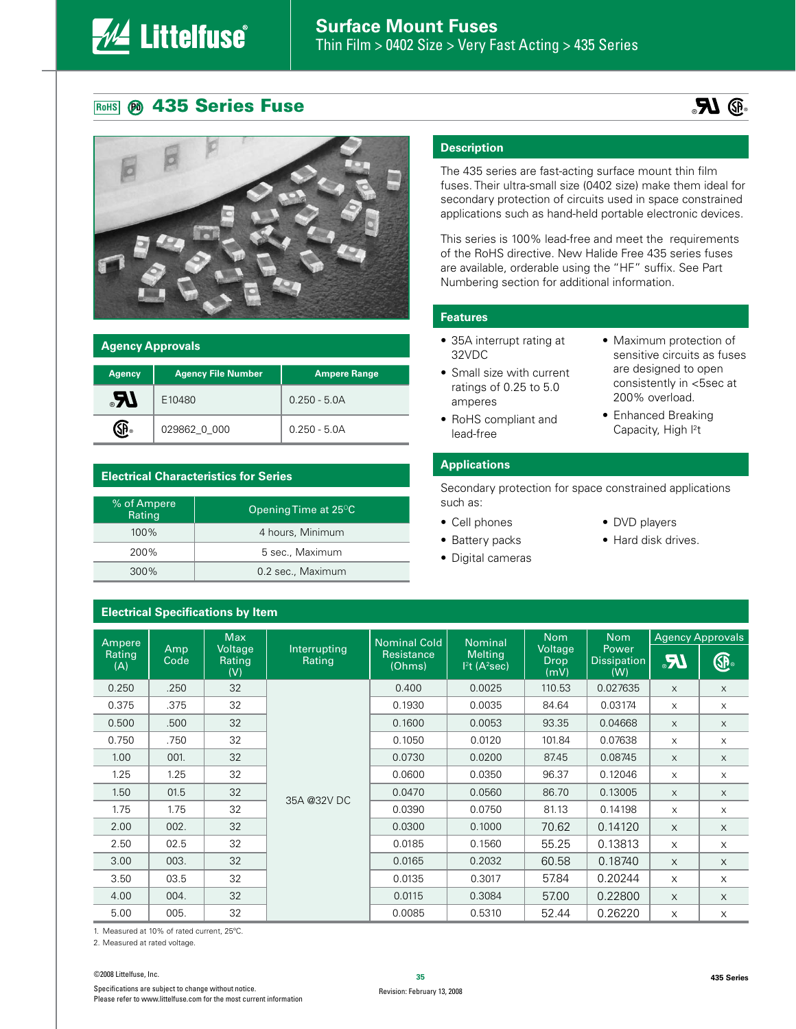## **135 Series Fuse Contract Contract Contract Contract Contract Contract Contract Contract Contract Contract Contract Contract Contract Contract Contract Contract Contract Contract Contract Contract Contract Contract Contr**





### **Agency Approvals**

| <b>Agency</b> | <b>Agency File Number</b> | <b>Ampere Range</b> |  |  |
|---------------|---------------------------|---------------------|--|--|
| IR.           | E10480                    | $0.250 - 5.0A$      |  |  |
|               | 029862_0_000              | $0.250 - 5.0A$      |  |  |

## **Electrical Characteristics for Series**

**Electrical Specifications by Item**

| % of Ampere<br>Rating | Opening Time at 25 $\mathrm{^{\circ}C}$ |
|-----------------------|-----------------------------------------|
| $100\%$               | 4 hours, Minimum                        |
| 200%                  | 5 sec., Maximum                         |
| 300%                  | 0.2 sec., Maximum                       |

## **Description**

The 435 series are fast-acting surface mount thin film fuses. Their ultra-small size (0402 size) make them ideal for secondary protection of circuits used in space constrained applications such as hand-held portable electronic devices.

This series is 100% lead-free and meet the requirements of the RoHS directive. New Halide Free 435 series fuses are available, orderable using the "HF" suffix. See Part Numbering section for additional information.

### **Features**

- 35A interrupt rating at 32VDC
- Small size with current ratings of 0.25 to 5.0 amperes
- RoHS compliant and lead-free
- Maximum protection of sensitive circuits as fuses are designed to open consistently in <5sec at 200% overload.
- Enhanced Breaking Capacity, High <sup>2</sup>t

## **Applications**

Secondary protection for space constrained applications such as:

- Cell phones
- Battery packs
- Digital cameras
- DVD players
- Hard disk drives.

| Ampere        |                                         | <b>Max</b>             |                      | <b>Nominal Cold</b>                  | <b>Nominal</b> | <b>Nom</b><br><b>Voltage</b><br><b>Drop</b><br>(mV) | <b>Nom</b><br>Power<br><b>Dissipation</b><br>(W) | <b>Agency Approvals</b>     |              |
|---------------|-----------------------------------------|------------------------|----------------------|--------------------------------------|----------------|-----------------------------------------------------|--------------------------------------------------|-----------------------------|--------------|
| Rating<br>(A) | Amp<br>Voltage<br>Rating<br>Code<br>(V) | Interrupting<br>Rating | Resistance<br>(Ohms) | <b>Melting</b><br>$12$ t (A $2$ sec) | I              |                                                     |                                                  | $\bigcircled{\mathbb{G}}$ . |              |
| 0.250         | .250                                    | 32                     |                      | 0.400                                | 0.0025         | 110.53                                              | 0.027635                                         | X                           | $\times$     |
| 0.375         | .375                                    | 32                     |                      | 0.1930                               | 0.0035         | 84.64                                               | 0.03174                                          | X                           | $\times$     |
| 0.500         | .500                                    | 32                     |                      | 0.1600                               | 0.0053         | 93.35                                               | 0.04668                                          | X                           | X            |
| 0.750         | .750                                    | 32                     |                      | 0.1050                               | 0.0120         | 101.84                                              | 0.07638                                          | X                           | $\times$     |
| 1.00          | 001.                                    | 32                     |                      | 0.0730                               | 0.0200         | 87.45                                               | 0.08745                                          | X                           | $\times$     |
| 1.25          | 1.25                                    | 32                     |                      | 0.0600                               | 0.0350         | 96.37                                               | 0.12046                                          | X                           | X            |
| 1.50          | 01.5                                    | 32                     |                      | 0.0470                               | 0.0560         | 86.70                                               | 0.13005                                          | X                           | $\times$     |
| 1.75          | 1.75                                    | 32                     | 35A @32V DC          | 0.0390                               | 0.0750         | 81.13                                               | 0.14198                                          | X                           | $\times$     |
| 2.00          | 002.                                    | 32                     |                      | 0.0300                               | 0.1000         | 70.62                                               | 0.14120                                          | $\times$                    | X            |
| 2.50          | 02.5                                    | 32                     |                      | 0.0185                               | 0.1560         | 55.25                                               | 0.13813                                          | $\times$                    | $\mathsf{X}$ |
| 3.00          | 003.                                    | 32                     |                      | 0.0165                               | 0.2032         | 60.58                                               | 0.18740                                          | $\times$                    | $\times$     |
| 3.50          | 03.5                                    | 32                     |                      | 0.0135                               | 0.3017         | 57.84                                               | 0.20244                                          | $\times$                    | $\times$     |
| 4.00          | 004.                                    | 32                     |                      | 0.0115                               | 0.3084         | 57.00                                               | 0.22800                                          | $\times$                    | $\times$     |
| 5.00          | 005.                                    | 32                     |                      | 0.0085                               | 0.5310         | 52.44                                               | 0.26220                                          | X                           | X            |

1. Measured at 10% of rated current, 25ºC.

2. Measured at rated voltage.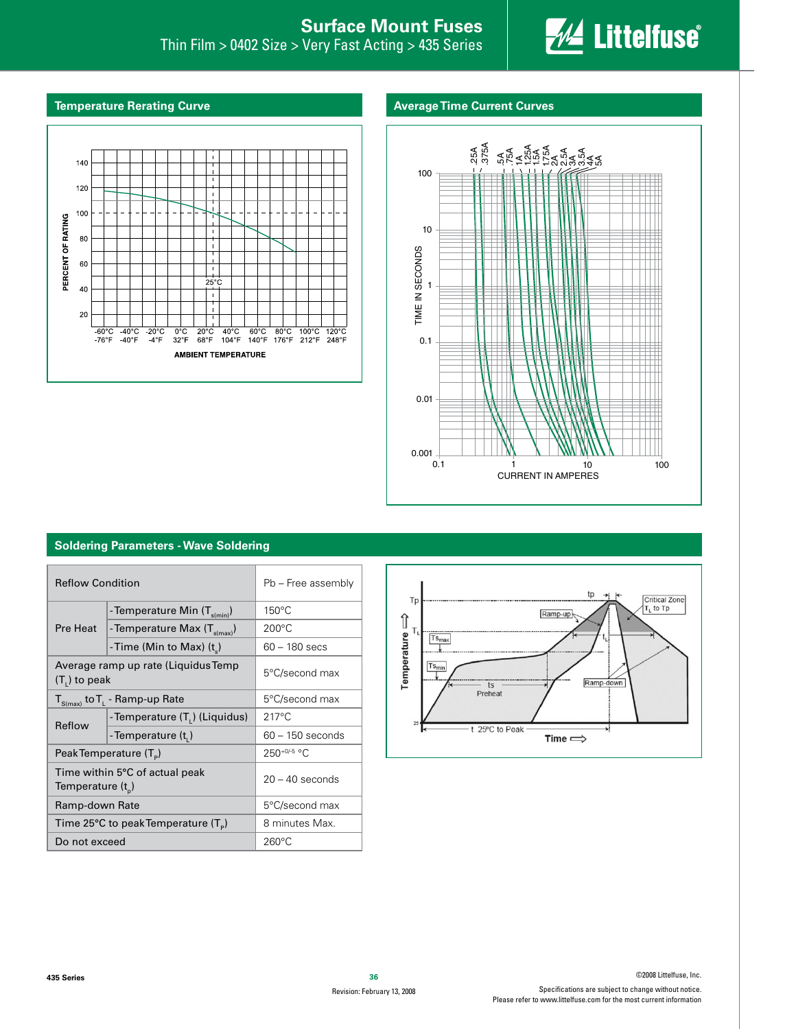

#### **Temperature Rerating Curve**

## **Average Time Current Curves**





#### **Soldering Parameters - Wave Soldering**

| <b>Reflow Condition</b>                                 |                                            | Pb - Free assembly |  |
|---------------------------------------------------------|--------------------------------------------|--------------------|--|
|                                                         | - Temperature Min (T <sub>s(min)</sub> )   | $150^{\circ}$ C    |  |
| Pre Heat                                                | - Temperature Max $(T_{s(max)})$           | $200^{\circ}$ C    |  |
|                                                         | -Time (Min to Max) (t)                     | $60 - 180$ secs    |  |
| $(T1)$ to peak                                          | Average ramp up rate (Liquidus Temp        | 5°C/second max     |  |
|                                                         | $T_{S(max)}$ to $T_{L}$ - Ramp-up Rate     | 5°C/second max     |  |
| Reflow                                                  | - Temperature (T <sub>1</sub> ) (Liquidus) | $217^{\circ}$ C    |  |
|                                                         | -Temperature (t,)                          | $60 - 150$ seconds |  |
|                                                         | Peak Temperature (T <sub>e</sub> )         | 250+0/-5 °C        |  |
| Time within 5°C of actual peak<br>Temperature $(t_{p})$ |                                            | $20 - 40$ seconds  |  |
| Ramp-down Rate                                          |                                            | 5°C/second max     |  |
|                                                         | Time 25°C to peak Temperature $(T_p)$      | 8 minutes Max.     |  |
| Do not exceed                                           |                                            | $260^{\circ}$ C    |  |